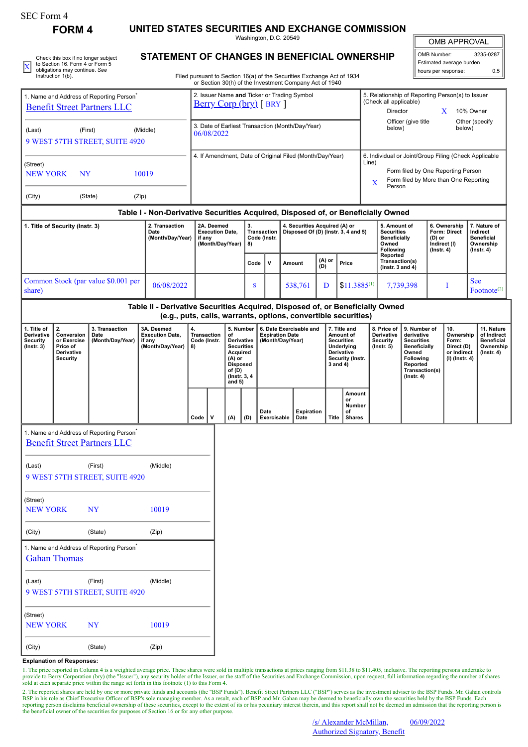| SEC Form 4 |
|------------|
|------------|

Instruction 1(b).

**FORM 4 UNITED STATES SECURITIES AND EXCHANGE COMMISSION**

Washington, D.C. 20549

OMB APPROVAL

 $\mathbb I$ 

|  | Check this box if no longer subject                                  | STATEMENT OF CHANGES IN BENEFICIAL OWNERSHIP                                                                                                                                                                                      | <sup>1</sup> l OMB Number: | 3235-0287 |  |  |  |
|--|----------------------------------------------------------------------|-----------------------------------------------------------------------------------------------------------------------------------------------------------------------------------------------------------------------------------|----------------------------|-----------|--|--|--|
|  | to Section 16. Form 4 or Form 5                                      |                                                                                                                                                                                                                                   | l Estimated average burden |           |  |  |  |
|  | obligations may continue. See<br>$1 - 1 - 1 - 1 = 1 - 1 - 1 - 1 = 1$ | $\mathbb{R}^{n+1}$ . The state of the state of the state of the state of the state of the state of the state of the state of the state of the state of the state of the state of the state of the state of the state of the state | I hours per response:      | 0.5       |  |  |  |

| STATEMENT OF CHANGES IN BENEFICIAL OWNERSHIP |
|----------------------------------------------|
|----------------------------------------------|

Filed pursuant to Section 16(a) of the Securities Exchange Act of 1934 or Section 30(h) of the Investment Company Act of 1940

| 1. Name and Address of Reporting Person <sup>®</sup>                                                                                             |                     |                                                                                            |                                                                                                                                                 |                                                                    | 2. Issuer Name and Ticker or Trading Symbol<br>$Berry Corp (bry) [ BRY ]$ |  |                                                                                                                                             |                                    |                                                                      |                                                                       |                                                          |                                                                                |                                                                                                            |  | 5. Relationship of Reporting Person(s) to Issuer<br>(Check all applicable)                |                                                                                                                                          |                                                                          |                                                                          |                                                                                 |  |  |
|--------------------------------------------------------------------------------------------------------------------------------------------------|---------------------|--------------------------------------------------------------------------------------------|-------------------------------------------------------------------------------------------------------------------------------------------------|--------------------------------------------------------------------|---------------------------------------------------------------------------|--|---------------------------------------------------------------------------------------------------------------------------------------------|------------------------------------|----------------------------------------------------------------------|-----------------------------------------------------------------------|----------------------------------------------------------|--------------------------------------------------------------------------------|------------------------------------------------------------------------------------------------------------|--|-------------------------------------------------------------------------------------------|------------------------------------------------------------------------------------------------------------------------------------------|--------------------------------------------------------------------------|--------------------------------------------------------------------------|---------------------------------------------------------------------------------|--|--|
| <b>Benefit Street Partners LLC</b>                                                                                                               |                     |                                                                                            |                                                                                                                                                 |                                                                    |                                                                           |  |                                                                                                                                             |                                    |                                                                      |                                                                       |                                                          |                                                                                |                                                                                                            |  | Director<br>X<br>10% Owner                                                                |                                                                                                                                          |                                                                          |                                                                          |                                                                                 |  |  |
| (Middle)<br>(Last)<br>(First)<br>9 WEST 57TH STREET, SUITE 4920                                                                                  |                     |                                                                                            |                                                                                                                                                 |                                                                    | 3. Date of Earliest Transaction (Month/Day/Year)<br>06/08/2022            |  |                                                                                                                                             |                                    |                                                                      |                                                                       |                                                          |                                                                                |                                                                                                            |  | Officer (give title<br>Other (specify<br>below)<br>below)                                 |                                                                                                                                          |                                                                          |                                                                          |                                                                                 |  |  |
|                                                                                                                                                  |                     |                                                                                            |                                                                                                                                                 |                                                                    |                                                                           |  |                                                                                                                                             |                                    |                                                                      |                                                                       | 4. If Amendment, Date of Original Filed (Month/Day/Year) |                                                                                |                                                                                                            |  |                                                                                           |                                                                                                                                          |                                                                          |                                                                          | 6. Individual or Joint/Group Filing (Check Applicable                           |  |  |
| (Street)<br>10019<br><b>NEW YORK</b><br><b>NY</b>                                                                                                |                     |                                                                                            |                                                                                                                                                 |                                                                    |                                                                           |  |                                                                                                                                             |                                    |                                                                      |                                                                       |                                                          |                                                                                |                                                                                                            |  | Line)<br>Form filed by One Reporting Person<br>Form filed by More than One Reporting<br>X |                                                                                                                                          |                                                                          |                                                                          |                                                                                 |  |  |
| (City)                                                                                                                                           |                     | (State)                                                                                    | (Zip)                                                                                                                                           |                                                                    |                                                                           |  |                                                                                                                                             |                                    |                                                                      |                                                                       |                                                          |                                                                                |                                                                                                            |  | Person                                                                                    |                                                                                                                                          |                                                                          |                                                                          |                                                                                 |  |  |
|                                                                                                                                                  |                     |                                                                                            | Table I - Non-Derivative Securities Acquired, Disposed of, or Beneficially Owned                                                                |                                                                    |                                                                           |  |                                                                                                                                             |                                    |                                                                      |                                                                       |                                                          |                                                                                |                                                                                                            |  |                                                                                           |                                                                                                                                          |                                                                          |                                                                          |                                                                                 |  |  |
| 2. Transaction<br>1. Title of Security (Instr. 3)<br>Date<br>(Month/Day/Year)                                                                    |                     |                                                                                            |                                                                                                                                                 | 2A. Deemed<br><b>Execution Date,</b><br>if any<br>(Month/Day/Year) |                                                                           |  | 3.<br>8)                                                                                                                                    | <b>Transaction</b><br>Code (Instr. | 4. Securities Acquired (A) or<br>Disposed Of (D) (Instr. 3, 4 and 5) |                                                                       |                                                          | 5. Amount of<br><b>Securities</b><br><b>Beneficially</b><br>Owned<br>Following |                                                                                                            |  | 6. Ownership<br><b>Form: Direct</b><br>(D) or<br>Indirect (I)<br>$($ lnstr. 4 $)$         |                                                                                                                                          | 7. Nature of<br>Indirect<br><b>Beneficial</b><br>Ownership<br>(Instr. 4) |                                                                          |                                                                                 |  |  |
|                                                                                                                                                  |                     |                                                                                            |                                                                                                                                                 |                                                                    |                                                                           |  |                                                                                                                                             | Code                               | v                                                                    | Amount                                                                |                                                          | (A) or<br>(D)                                                                  | Price                                                                                                      |  | Reported<br>Transaction(s)<br>( $lnstr. 3 and 4$ )                                        |                                                                                                                                          |                                                                          |                                                                          |                                                                                 |  |  |
| share)                                                                                                                                           |                     | Common Stock (par value \$0.001 per                                                        | 06/08/2022                                                                                                                                      |                                                                    |                                                                           |  |                                                                                                                                             | S                                  |                                                                      |                                                                       | 538,761                                                  | D                                                                              | $$11.3885^{(1)}$                                                                                           |  |                                                                                           | 7,739,398                                                                                                                                |                                                                          | I                                                                        | <b>See</b><br>Footnote <sup>(2)</sup>                                           |  |  |
|                                                                                                                                                  |                     |                                                                                            | Table II - Derivative Securities Acquired, Disposed of, or Beneficially Owned<br>(e.g., puts, calls, warrants, options, convertible securities) |                                                                    |                                                                           |  |                                                                                                                                             |                                    |                                                                      |                                                                       |                                                          |                                                                                |                                                                                                            |  |                                                                                           |                                                                                                                                          |                                                                          |                                                                          |                                                                                 |  |  |
| 1. Title of<br>2.<br>Derivative<br>Conversion<br><b>Security</b><br>or Exercise<br>$($ Instr. 3 $)$<br>Price of<br>Derivative<br><b>Security</b> |                     | 3. Transaction<br>Date<br>(Month/Day/Year)                                                 | 3A. Deemed<br><b>Execution Date,</b><br>if any<br>(Month/Day/Year)                                                                              | 4.<br>8)                                                           | <b>Transaction</b><br>Code (Instr.                                        |  | 5. Number<br>of<br><b>Derivative</b><br><b>Securities</b><br>Acquired<br>$(A)$ or<br><b>Disposed</b><br>of (D)<br>(Instr. 3, 4)<br>and $5)$ |                                    |                                                                      | 6. Date Exercisable and<br><b>Expiration Date</b><br>(Month/Day/Year) |                                                          |                                                                                | 7. Title and<br>Amount of<br><b>Securities</b><br>Underlying<br>Derivative<br>Security (Instr.<br>3 and 4) |  | 8. Price of<br>Derivative<br><b>Security</b><br>$($ Instr. 5 $)$                          | 9. Number of<br>derivative<br><b>Securities</b><br><b>Beneficially</b><br>Owned<br>Following<br>Reported<br>Transaction(s)<br>(Instr. 4) |                                                                          | 10.<br>Ownership<br>Form:<br>Direct (D)<br>or Indirect<br>(I) (Instr. 4) | 11. Nature<br>of Indirect<br><b>Beneficial</b><br>Ownership<br>$($ Instr. 4 $)$ |  |  |
|                                                                                                                                                  |                     |                                                                                            |                                                                                                                                                 | Code                                                               | v                                                                         |  | (A)<br>(D)                                                                                                                                  |                                    | Date<br>Exercisable                                                  |                                                                       | <b>Expiration</b><br>Date                                | <b>Title</b>                                                                   | Amount<br>or<br>Number<br>of<br><b>Shares</b>                                                              |  |                                                                                           |                                                                                                                                          |                                                                          |                                                                          |                                                                                 |  |  |
|                                                                                                                                                  |                     | 1. Name and Address of Reporting Person <sup>*</sup><br><b>Benefit Street Partners LLC</b> |                                                                                                                                                 |                                                                    |                                                                           |  |                                                                                                                                             |                                    |                                                                      |                                                                       |                                                          |                                                                                |                                                                                                            |  |                                                                                           |                                                                                                                                          |                                                                          |                                                                          |                                                                                 |  |  |
| (Last)                                                                                                                                           |                     | (First)<br>9 WEST 57TH STREET, SUITE 4920                                                  | (Middle)                                                                                                                                        |                                                                    |                                                                           |  |                                                                                                                                             |                                    |                                                                      |                                                                       |                                                          |                                                                                |                                                                                                            |  |                                                                                           |                                                                                                                                          |                                                                          |                                                                          |                                                                                 |  |  |
| (Street)<br><b>NEW YORK</b>                                                                                                                      |                     | <b>NY</b>                                                                                  | 10019                                                                                                                                           |                                                                    |                                                                           |  |                                                                                                                                             |                                    |                                                                      |                                                                       |                                                          |                                                                                |                                                                                                            |  |                                                                                           |                                                                                                                                          |                                                                          |                                                                          |                                                                                 |  |  |
| (City)                                                                                                                                           |                     | (State)                                                                                    | (Zip)                                                                                                                                           |                                                                    |                                                                           |  |                                                                                                                                             |                                    |                                                                      |                                                                       |                                                          |                                                                                |                                                                                                            |  |                                                                                           |                                                                                                                                          |                                                                          |                                                                          |                                                                                 |  |  |
|                                                                                                                                                  | <b>Gahan Thomas</b> | 1. Name and Address of Reporting Person <sup>*</sup>                                       |                                                                                                                                                 |                                                                    |                                                                           |  |                                                                                                                                             |                                    |                                                                      |                                                                       |                                                          |                                                                                |                                                                                                            |  |                                                                                           |                                                                                                                                          |                                                                          |                                                                          |                                                                                 |  |  |
| (Last)                                                                                                                                           |                     | (First)<br>9 WEST 57TH STREET, SUITE 4920                                                  | (Middle)                                                                                                                                        |                                                                    |                                                                           |  |                                                                                                                                             |                                    |                                                                      |                                                                       |                                                          |                                                                                |                                                                                                            |  |                                                                                           |                                                                                                                                          |                                                                          |                                                                          |                                                                                 |  |  |
| (Street)<br><b>NEW YORK</b>                                                                                                                      |                     | <b>NY</b>                                                                                  | 10019                                                                                                                                           |                                                                    |                                                                           |  |                                                                                                                                             |                                    |                                                                      |                                                                       |                                                          |                                                                                |                                                                                                            |  |                                                                                           |                                                                                                                                          |                                                                          |                                                                          |                                                                                 |  |  |

**Explanation of Responses:**

(City) (State) (Zip)

1. The price reported in Column 4 is a weighted average price. These shares were sold in multiple transactions at prices ranging from \$11.38 to \$11.405, inclusive. The reporting persons undertake to provide to Berry Corporation (bry) (the "Issuer"), any security holder of the Issuer, or the staff of the Securities and Exchange Commission, upon request, full information regarding the number of shares sold at each separ

2. The reported shares are held by one or more private funds and accounts (the "BSP Funds"). Benefit Street Partners LLC ("BSP") serves as the investment adviser to the BSP Funds. Mr. Gahan controls BSP in his role as Chief Executive Officer of BSP's sole managing member. As a result, each of BSP and Mr. Gahan may be deemed to beneficially own the securities held by the BSP Funds. Each reporting person disclaims benef the beneficial owner of the securities for purposes of Section 16 or for any other purpose.